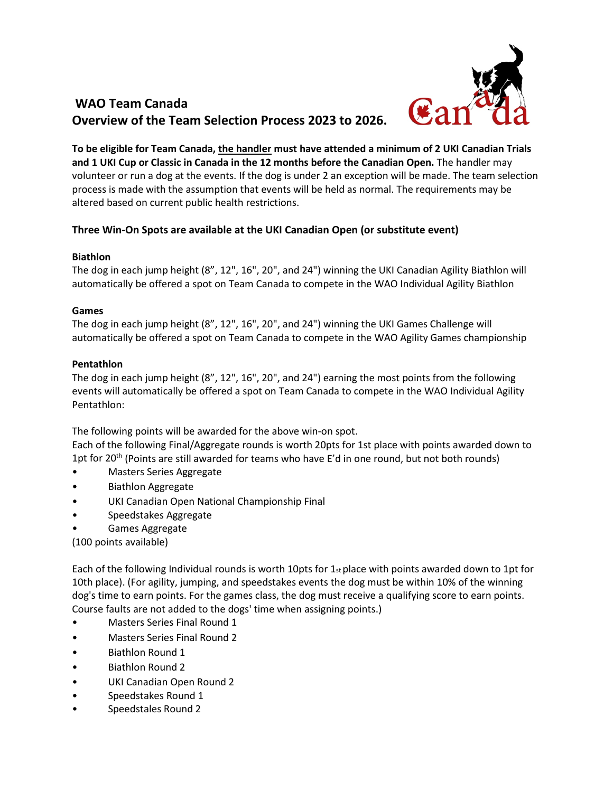

# **WAO Team Canada Overview of the Team Selection Process 2023 to 2026.**

**To be eligible for Team Canada, the handler must have attended a minimum of 2 UKI Canadian Trials and 1 UKI Cup or Classic in Canada in the 12 months before the Canadian Open.** The handler may volunteer or run a dog at the events. If the dog is under 2 an exception will be made. The team selection process is made with the assumption that events will be held as normal. The requirements may be altered based on current public health restrictions.

### **Three Win-On Spots are available at the UKI Canadian Open (or substitute event)**

#### **Biathlon**

The dog in each jump height (8", 12", 16", 20", and 24") winning the UKI Canadian Agility Biathlon will automatically be offered a spot on Team Canada to compete in the WAO Individual Agility Biathlon

#### **Games**

The dog in each jump height (8", 12", 16", 20", and 24") winning the UKI Games Challenge will automatically be offered a spot on Team Canada to compete in the WAO Agility Games championship

#### **Pentathlon**

The dog in each jump height (8", 12", 16", 20", and 24") earning the most points from the following events will automatically be offered a spot on Team Canada to compete in the WAO Individual Agility Pentathlon:

The following points will be awarded for the above win-on spot.

Each of the following Final/Aggregate rounds is worth 20pts for 1st place with points awarded down to 1pt for 20<sup>th</sup> (Points are still awarded for teams who have E'd in one round, but not both rounds)

- Masters Series Aggregate
- Biathlon Aggregate
- UKI Canadian Open National Championship Final
- Speedstakes Aggregate
- Games Aggregate

(100 points available)

Each of the following Individual rounds is worth 10pts for  $1_{st}$  place with points awarded down to 1pt for 10th place). (For agility, jumping, and speedstakes events the dog must be within 10% of the winning dog's time to earn points. For the games class, the dog must receive a qualifying score to earn points. Course faults are not added to the dogs' time when assigning points.)

- Masters Series Final Round 1
- Masters Series Final Round 2
- Biathlon Round 1
- Biathlon Round 2
- UKI Canadian Open Round 2
- Speedstakes Round 1
- Speedstales Round 2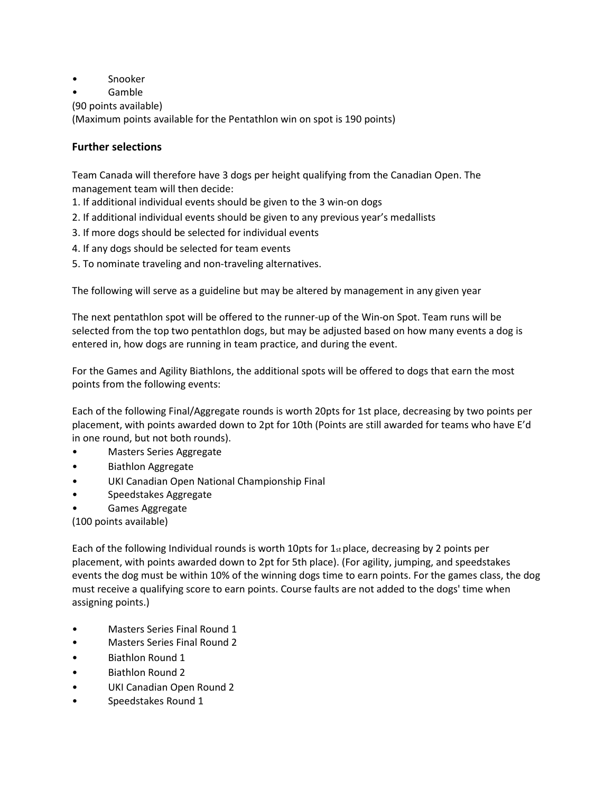- Snooker
- Gamble
- (90 points available)

(Maximum points available for the Pentathlon win on spot is 190 points)

## **Further selections**

Team Canada will therefore have 3 dogs per height qualifying from the Canadian Open. The management team will then decide:

- 1. If additional individual events should be given to the 3 win-on dogs
- 2. If additional individual events should be given to any previous year's medallists
- 3. If more dogs should be selected for individual events
- 4. If any dogs should be selected for team events
- 5. To nominate traveling and non-traveling alternatives.

The following will serve as a guideline but may be altered by management in any given year

The next pentathlon spot will be offered to the runner-up of the Win-on Spot. Team runs will be selected from the top two pentathlon dogs, but may be adjusted based on how many events a dog is entered in, how dogs are running in team practice, and during the event.

For the Games and Agility Biathlons, the additional spots will be offered to dogs that earn the most points from the following events:

Each of the following Final/Aggregate rounds is worth 20pts for 1st place, decreasing by two points per placement, with points awarded down to 2pt for 10th (Points are still awarded for teams who have E'd in one round, but not both rounds).

- Masters Series Aggregate
- Biathlon Aggregate
- UKI Canadian Open National Championship Final
- Speedstakes Aggregate
- Games Aggregate

(100 points available)

Each of the following Individual rounds is worth 10pts for  $1_{st}$  place, decreasing by 2 points per placement, with points awarded down to 2pt for 5th place). (For agility, jumping, and speedstakes events the dog must be within 10% of the winning dogs time to earn points. For the games class, the dog must receive a qualifying score to earn points. Course faults are not added to the dogs' time when assigning points.)

- Masters Series Final Round 1
- Masters Series Final Round 2
- Biathlon Round 1
- Biathlon Round 2
- UKI Canadian Open Round 2
- Speedstakes Round 1